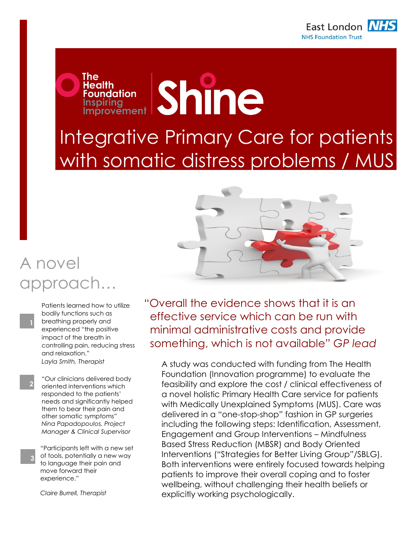

## **Shine Foundation Inspiring** Inspiring<br>Improvement Integrative Primary Care for patients with somatic distress problems / MUS

## A novel approach…

Patients learned how to utilize bodily functions such as breathing properly and experienced "the positive impact of the breath in controlling pain, reducing stress and relaxation." *Layla Smith, Therapist*

The

Health

"Our clinicians delivered body oriented interventions which responded to the patients" needs and significantly helped them to bear their pain and other somatic symptoms" *Nina Papadopoulos, Project Manager & Clinical Supervisor*

"Participants left with a new set of tools, potentially a new way to language their pain and move forward their experience."

*Claire Burrell, Therapist*

**3**

**2**

"Overall the evidence shows that it is an effective service which can be run with minimal administrative costs and provide something, which is not available" *GP lead*

A study was conducted with funding from The Health Foundation (Innovation programme) to evaluate the feasibility and explore the cost / clinical effectiveness of a novel holistic Primary Health Care service for patients with Medically Unexplained Symptoms (MUS). Care was delivered in a "one-stop-shop" fashion in GP surgeries including the following steps: Identification, Assessment, Engagement and Group Interventions – Mindfulness Based Stress Reduction (MBSR) and Body Oriented Interventions ("Strategies for Better Living Group"/SBLG). Both interventions were entirely focused towards helping patients to improve their overall coping and to foster wellbeing, without challenging their health beliefs or explicitly working psychologically. (GPelsewhere".